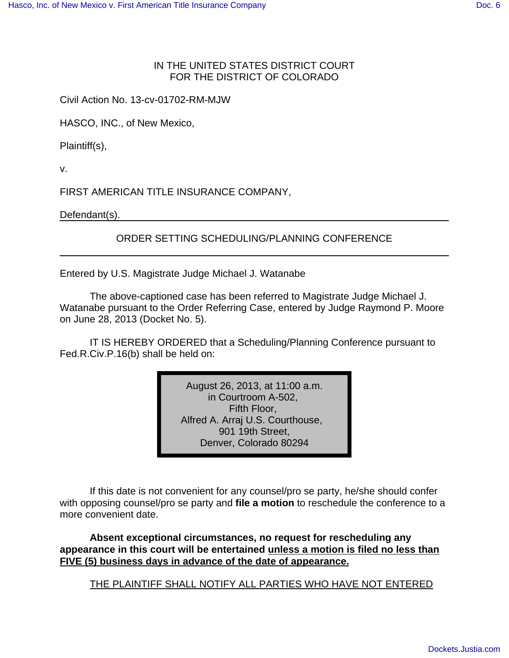## IN THE UNITED STATES DISTRICT COURT FOR THE DISTRICT OF COLORADO

Civil Action No. 13-cv-01702-RM-MJW

HASCO, INC., of New Mexico,

Plaintiff(s),

v.

FIRST AMERICAN TITLE INSURANCE COMPANY,

Defendant(s).

## ORDER SETTING SCHEDULING/PLANNING CONFERENCE

Entered by U.S. Magistrate Judge Michael J. Watanabe

The above-captioned case has been referred to Magistrate Judge Michael J. Watanabe pursuant to the Order Referring Case, entered by Judge Raymond P. Moore on June 28, 2013 (Docket No. 5).

IT IS HEREBY ORDERED that a Scheduling/Planning Conference pursuant to Fed.R.Civ.P.16(b) shall be held on:

> August 26, 2013, at 11:00 a.m. in Courtroom A-502, Fifth Floor, Alfred A. Arraj U.S. Courthouse, 901 19th Street, Denver, Colorado 80294

If this date is not convenient for any counsel/pro se party, he/she should confer with opposing counsel/pro se party and **file a motion** to reschedule the conference to a more convenient date.

**Absent exceptional circumstances, no request for rescheduling any appearance in this court will be entertained unless a motion is filed no less than FIVE (5) business days in advance of the date of appearance.**

THE PLAINTIFF SHALL NOTIFY ALL PARTIES WHO HAVE NOT ENTERED